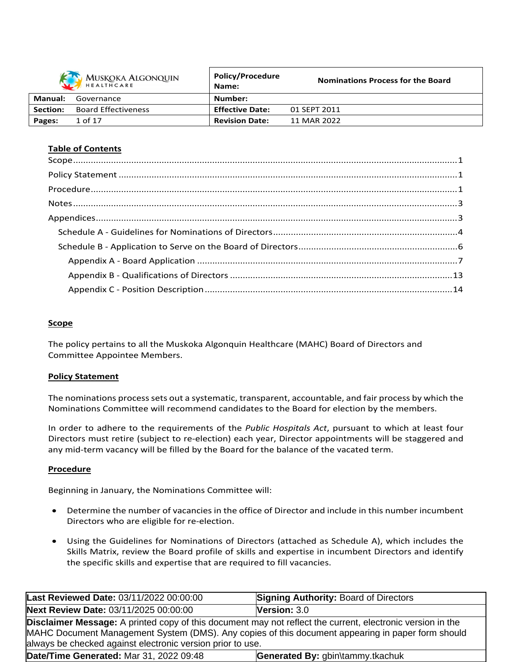|                 | MUSKOKA ALGONQUIN          | <b>Policy/Procedure</b><br>Name: | <b>Nominations Process for the Board</b> |
|-----------------|----------------------------|----------------------------------|------------------------------------------|
| Manual:         | Governance                 | Number:                          |                                          |
| <b>Section:</b> | <b>Board Effectiveness</b> | <b>Effective Date:</b>           | 01 SEPT 2011                             |
| Pages:          | 1 of 17                    | <b>Revision Date:</b>            | 11 MAR 2022                              |

### **Table of Contents**

### **Scope**

The policy pertains to all the Muskoka Algonquin Healthcare (MAHC) Board of Directors and Committee Appointee Members.

#### **Policy Statement**

The nominations process sets out a systematic, transparent, accountable, and fair process by which the Nominations Committee will recommend candidates to the Board for election by the members.

In order to adhere to the requirements of the *Public Hospitals Act*, pursuant to which at least four Directors must retire (subject to re-election) each year, Director appointments will be staggered and any mid-term vacancy will be filled by the Board for the balance of the vacated term.

#### **Procedure**

Beginning in January, the Nominations Committee will:

- Determine the number of vacancies in the office of Director and include in this number incumbent Directors who are eligible for re-election.
- Using the Guidelines for Nominations of Directors (attached as Schedule A), which includes the Skills Matrix, review the Board profile of skills and expertise in incumbent Directors and identify the specific skills and expertise that are required to fill vacancies.

| Last Reviewed Date: 03/11/2022 00:00:00                                                                                                                                                                                                                                       | <b>Signing Authority: Board of Directors</b> |  |  |  |
|-------------------------------------------------------------------------------------------------------------------------------------------------------------------------------------------------------------------------------------------------------------------------------|----------------------------------------------|--|--|--|
| Next Review Date: 03/11/2025 00:00:00                                                                                                                                                                                                                                         | Version: $3.0$                               |  |  |  |
| Disclaimer Message: A printed copy of this document may not reflect the current, electronic version in the<br>MAHC Document Management System (DMS). Any copies of this document appearing in paper form should<br>always be checked against electronic version prior to use. |                                              |  |  |  |
| Date/Time Generated: Mar 31, 2022 09:48<br>Generated By: gbin\tammy.tkachuk                                                                                                                                                                                                   |                                              |  |  |  |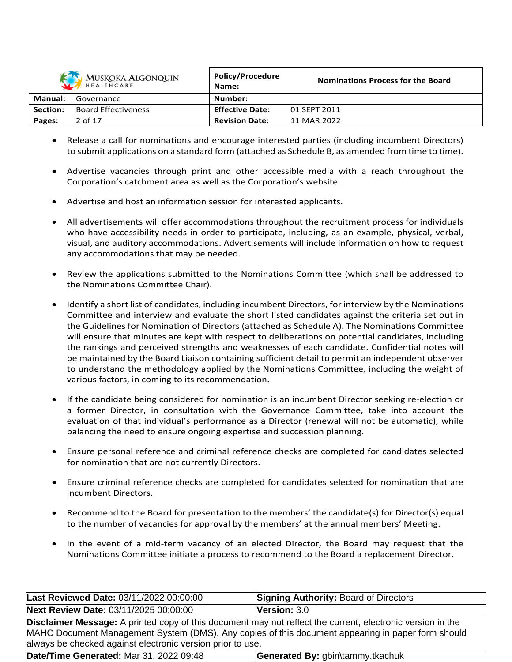

| MUSKOKA ALGONQUIN<br>HEALTHCARE |                            | <b>POIICY/Procedure</b><br>Name: | <b>Nominations Process for the Board</b> |
|---------------------------------|----------------------------|----------------------------------|------------------------------------------|
| Manual:                         | Governance                 | Number:                          |                                          |
| Section:                        | <b>Board Effectiveness</b> | <b>Effective Date:</b>           | 01 SEPT 2011                             |
| Pages:                          | 2 of 17                    | <b>Revision Date:</b>            | 11 MAR 2022                              |

**Policy/Procedure**

- Release a call for nominations and encourage interested parties (including incumbent Directors) to submit applications on a standard form (attached as Schedule B, as amended from time to time).
- Advertise vacancies through print and other accessible media with a reach throughout the Corporation's catchment area as well as the Corporation's website.
- Advertise and host an information session for interested applicants.
- All advertisements will offer accommodations throughout the recruitment process for individuals who have accessibility needs in order to participate, including, as an example, physical, verbal, visual, and auditory accommodations. Advertisements will include information on how to request any accommodations that may be needed.
- Review the applications submitted to the Nominations Committee (which shall be addressed to the Nominations Committee Chair).
- Identify a short list of candidates, including incumbent Directors, for interview by the Nominations Committee and interview and evaluate the short listed candidates against the criteria set out in the Guidelines for Nomination of Directors (attached as Schedule A). The Nominations Committee will ensure that minutes are kept with respect to deliberations on potential candidates, including the rankings and perceived strengths and weaknesses of each candidate. Confidential notes will be maintained by the Board Liaison containing sufficient detail to permit an independent observer to understand the methodology applied by the Nominations Committee, including the weight of various factors, in coming to its recommendation.
- If the candidate being considered for nomination is an incumbent Director seeking re-election or a former Director, in consultation with the Governance Committee, take into account the evaluation of that individual's performance as a Director (renewal will not be automatic), while balancing the need to ensure ongoing expertise and succession planning.
- Ensure personal reference and criminal reference checks are completed for candidates selected for nomination that are not currently Directors.
- Ensure criminal reference checks are completed for candidates selected for nomination that are incumbent Directors.
- Recommend to the Board for presentation to the members' the candidate(s) for Director(s) equal to the number of vacancies for approval by the members' at the annual members' Meeting.
- In the event of a mid-term vacancy of an elected Director, the Board may request that the Nominations Committee initiate a process to recommend to the Board a replacement Director.

| Last Reviewed Date: 03/11/2022 00:00:00                                                                                                                                                                                                                                              | <b>Signing Authority: Board of Directors</b> |  |  |
|--------------------------------------------------------------------------------------------------------------------------------------------------------------------------------------------------------------------------------------------------------------------------------------|----------------------------------------------|--|--|
| Next Review Date: 03/11/2025 00:00:00                                                                                                                                                                                                                                                | Version: $3.0$                               |  |  |
| <b>Disclaimer Message:</b> A printed copy of this document may not reflect the current, electronic version in the<br>MAHC Document Management System (DMS). Any copies of this document appearing in paper form should<br>always be checked against electronic version prior to use. |                                              |  |  |
| Date/Time Generated: Mar 31, 2022 09:48<br>Generated By: gbin\tammy.tkachuk                                                                                                                                                                                                          |                                              |  |  |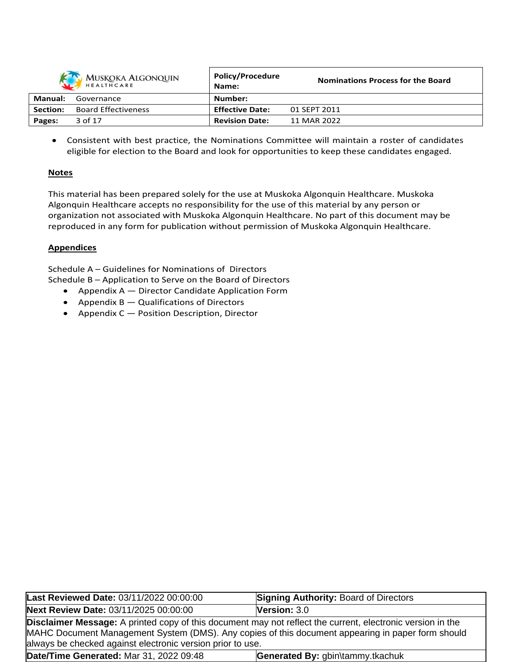|          | MUSKOKA ALGONQUIN          | <b>Policy/Procedure</b><br>Name: | <b>Nominations Process for the Board</b> |
|----------|----------------------------|----------------------------------|------------------------------------------|
| Manual:  | Governance                 | Number:                          |                                          |
| Section: | <b>Board Effectiveness</b> | <b>Effective Date:</b>           | 01 SEPT 2011                             |
| Pages:   | 3 of 17                    | <b>Revision Date:</b>            | 11 MAR 2022                              |

 Consistent with best practice, the Nominations Committee will maintain a roster of candidates eligible for election to the Board and look for opportunities to keep these candidates engaged.

# **Notes**

This material has been prepared solely for the use at Muskoka Algonquin Healthcare. Muskoka Algonquin Healthcare accepts no responsibility for the use of this material by any person or organization not associated with Muskoka Algonquin Healthcare. No part of this document may be reproduced in any form for publication without permission of Muskoka Algonquin Healthcare.

# **Appendices**

Schedule A – Guidelines for Nominations of Directors Schedule B – Application to Serve on the Board of Directors

- Appendix A Director Candidate Application Form
- Appendix  $B -$  Qualifications of Directors
- Appendix C Position Description, Director

| Last Reviewed Date: 03/11/2022 00:00:00                                                                                                                                                                                                                                              | <b>Signing Authority: Board of Directors</b> |  |  |  |
|--------------------------------------------------------------------------------------------------------------------------------------------------------------------------------------------------------------------------------------------------------------------------------------|----------------------------------------------|--|--|--|
| Next Review Date: 03/11/2025 00:00:00                                                                                                                                                                                                                                                | Version: $3.0$                               |  |  |  |
| <b>Disclaimer Message:</b> A printed copy of this document may not reflect the current, electronic version in the<br>MAHC Document Management System (DMS). Any copies of this document appearing in paper form should<br>always be checked against electronic version prior to use. |                                              |  |  |  |
| Date/Time Generated: Mar 31, 2022 09:48<br>Generated By: gbin\tammy.tkachuk                                                                                                                                                                                                          |                                              |  |  |  |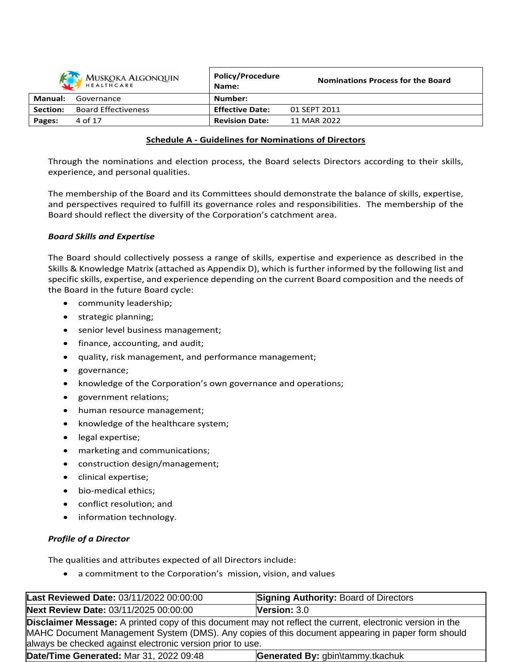| MUSKOKA ALGONQUIN |                            | <b>Policy/Procedure</b><br>Name: | <b>Nominations Process for the Board</b> |
|-------------------|----------------------------|----------------------------------|------------------------------------------|
| Manual:           | Governance                 | Number:                          |                                          |
| Section:          | <b>Board Effectiveness</b> | <b>Effective Date:</b>           | 01 SEPT 2011                             |
| Pages:            | 4 of 17                    | <b>Revision Date:</b>            | 11 MAR 2022                              |

### **Schedule A - Guidelines for Nominations of Directors**

Through the nominations and election process, the Board selects Directors according to their skills, experience, and personal qualities.

The membership of the Board and its Committees should demonstrate the balance of skills, expertise, and perspectives required to fulfill its governance roles and responsibilities. The membership of the Board should reflect the diversity of the Corporation's catchment area.

### *Board Skills and Expertise*

The Board should collectively possess a range of skills, expertise and experience as described in the Skills & Knowledge Matrix (attached as Appendix D), which is further informed by the following list and specific skills, expertise, and experience depending on the current Board composition and the needs of the Board in the future Board cycle:

- community leadership;
- strategic planning;
- senior level business management;
- finance, accounting, and audit;
- quality, risk management, and performance management;
- governance;
- knowledge of the Corporation's own governance and operations;
- government relations;
- human resource management;
- knowledge of the healthcare system;
- legal expertise;
- marketing and communications;
- construction design/management;
- clinical expertise;
- bio-medical ethics;
- conflict resolution; and
- information technology.

### *Profile of a Director*

The qualities and attributes expected of all Directors include:

a commitment to the Corporation's mission, vision, and values

| Last Reviewed Date: 03/11/2022 00:00:00                                                                                                                                                                                                                                              | <b>Signing Authority: Board of Directors</b> |  |  |  |
|--------------------------------------------------------------------------------------------------------------------------------------------------------------------------------------------------------------------------------------------------------------------------------------|----------------------------------------------|--|--|--|
| Next Review Date: 03/11/2025 00:00:00                                                                                                                                                                                                                                                | <b>Version: <math>3.0</math></b>             |  |  |  |
| <b>Disclaimer Message:</b> A printed copy of this document may not reflect the current, electronic version in the<br>MAHC Document Management System (DMS). Any copies of this document appearing in paper form should<br>always be checked against electronic version prior to use. |                                              |  |  |  |
| Date/Time Generated: Mar 31, 2022 09:48                                                                                                                                                                                                                                              | Generated By: gbin\tammy.tkachuk             |  |  |  |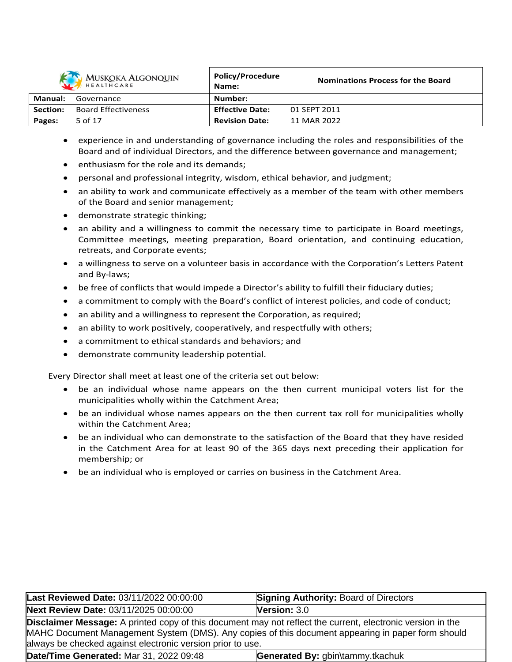

| MUSKOKA ALGONQUIN<br>HEALTHCARE |                            | <b>POIICV/Procedure</b><br>Name: | <b>Nominations Process for the Board</b> |
|---------------------------------|----------------------------|----------------------------------|------------------------------------------|
| Manual:                         | Governance                 | Number:                          |                                          |
| Section:                        | <b>Board Effectiveness</b> | <b>Effective Date:</b>           | 01 SEPT 2011                             |
| Pages:                          | 5 of 17                    | <b>Revision Date:</b>            | 11 MAR 2022                              |

**Policy/Procedure**

- experience in and understanding of governance including the roles and responsibilities of the Board and of individual Directors, and the difference between governance and management;
- enthusiasm for the role and its demands;
- personal and professional integrity, wisdom, ethical behavior, and judgment;
- an ability to work and communicate effectively as a member of the team with other members of the Board and senior management;
- demonstrate strategic thinking;
- an ability and a willingness to commit the necessary time to participate in Board meetings, Committee meetings, meeting preparation, Board orientation, and continuing education, retreats, and Corporate events;
- a willingness to serve on a volunteer basis in accordance with the Corporation's Letters Patent and By-laws;
- be free of conflicts that would impede a Director's ability to fulfill their fiduciary duties;
- a commitment to comply with the Board's conflict of interest policies, and code of conduct;
- an ability and a willingness to represent the Corporation, as required;
- an ability to work positively, cooperatively, and respectfully with others;
- a commitment to ethical standards and behaviors; and
- demonstrate community leadership potential.

Every Director shall meet at least one of the criteria set out below:

- be an individual whose name appears on the then current municipal voters list for the municipalities wholly within the Catchment Area;
- be an individual whose names appears on the then current tax roll for municipalities wholly within the Catchment Area;
- be an individual who can demonstrate to the satisfaction of the Board that they have resided in the Catchment Area for at least 90 of the 365 days next preceding their application for membership; or
- be an individual who is employed or carries on business in the Catchment Area.

| Last Reviewed Date: 03/11/2022 00:00:00                                                                                                                                                                                                                                              | <b>Signing Authority: Board of Directors</b> |  |  |  |
|--------------------------------------------------------------------------------------------------------------------------------------------------------------------------------------------------------------------------------------------------------------------------------------|----------------------------------------------|--|--|--|
| <b>Next Review Date: 03/11/2025 00:00:00</b>                                                                                                                                                                                                                                         | <b>Version: <math>3.0</math></b>             |  |  |  |
| <b>Disclaimer Message:</b> A printed copy of this document may not reflect the current, electronic version in the<br>MAHC Document Management System (DMS). Any copies of this document appearing in paper form should<br>always be checked against electronic version prior to use. |                                              |  |  |  |
| Date/Time Generated: Mar 31, 2022 09:48                                                                                                                                                                                                                                              | Generated By: gbin\tammy.tkachuk             |  |  |  |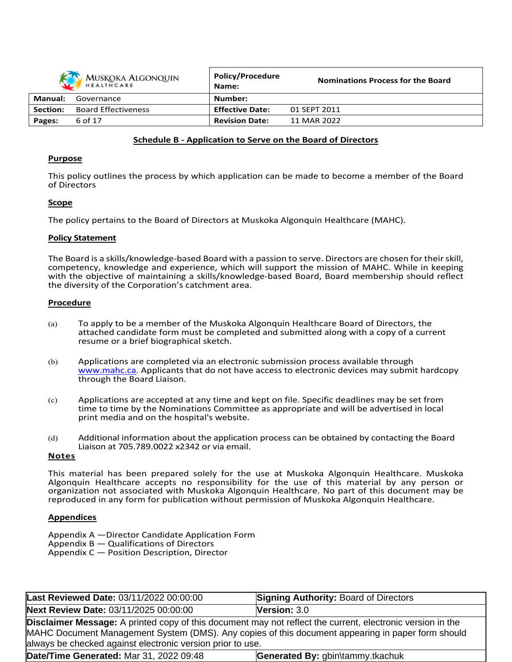| MUSKOKA ALGONQUIN |                            | <b>Policy/Procedure</b><br>Name: | <b>Nominations Process for the Board</b> |
|-------------------|----------------------------|----------------------------------|------------------------------------------|
| Manual:           | Governance                 | Number:                          |                                          |
| Section:          | <b>Board Effectiveness</b> | <b>Effective Date:</b>           | 01 SEPT 2011                             |
| Pages:            | 6 of 17                    | <b>Revision Date:</b>            | 11 MAR 2022                              |

#### **Schedule B - Application to Serve on the Board of Directors**

#### **Purpose**

This policy outlines the process by which application can be made to become a member of the Board of Directors

#### **Scope**

The policy pertains to the Board of Directors at Muskoka Algonquin Healthcare (MAHC).

#### **Policy Statement**

The Board is a skills/knowledge-based Board with a passion to serve. Directors are chosen for theirskill, competency, knowledge and experience, which will support the mission of MAHC. While in keeping with the objective of maintaining a skills/knowledge-based Board, Board membership should reflect the diversity of the Corporation's catchment area.

### **Procedure**

- (a) To apply to be a member of the Muskoka Algonquin Healthcare Board of Directors, the attached candidate form must be completed and submitted along with a copy of a current resume or a brief biographical sketch.
- (b) Applications are completed via an electronic submission process available through www.mahc.ca. Applicants that do not have access to electronic devices may submit hardcopy through the Board Liaison.
- (c) Applications are accepted at any time and kept on file. Specific deadlines may be set from time to time by the Nominations Committee as appropriate and will be advertised in local print media and on the hospital's website.
- (d) Additional information about the application process can be obtained by contacting the Board Liaison at 705.789.0022 x2342 or via email.

#### **Notes**

This material has been prepared solely for the use at Muskoka Algonquin Healthcare. Muskoka Algonquin Healthcare accepts no responsibility for the use of this material by any person or organization not associated with Muskoka Algonquin Healthcare. No part of this document may be reproduced in any form for publication without permission of Muskoka Algonquin Healthcare.

### **Appendices**

Appendix A —Director Candidate Application Form Appendix B — Qualifications of Directors

Appendix C — Position Description, Director

| Last Reviewed Date: 03/11/2022 00:00:00                    | <b>Signing Authority: Board of Directors</b>                                                                                                                                                                           |
|------------------------------------------------------------|------------------------------------------------------------------------------------------------------------------------------------------------------------------------------------------------------------------------|
| Next Review Date: 03/11/2025 00:00:00                      | <b>Version: 3.0</b>                                                                                                                                                                                                    |
| always be checked against electronic version prior to use. | <b>Disclaimer Message:</b> A printed copy of this document may not reflect the current, electronic version in the<br>MAHC Document Management System (DMS). Any copies of this document appearing in paper form should |
| Date/Time Generated: Mar 31, 2022 09:48                    | Generated By: gbin\tammy.tkachuk                                                                                                                                                                                       |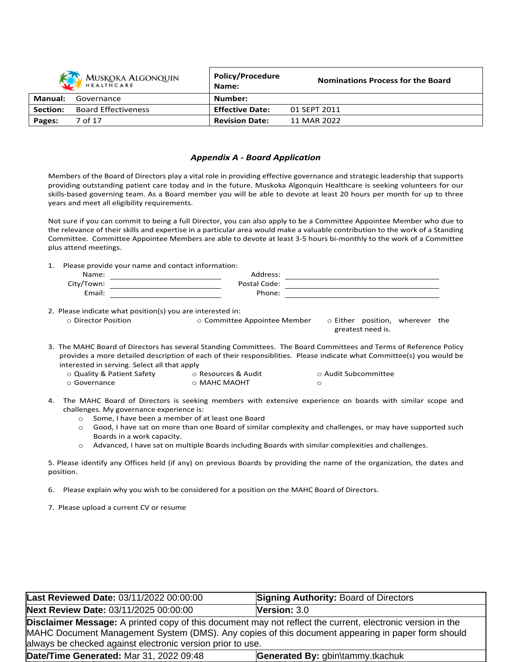| MUSKOKA ALGONQUIN |                            | <b>Policy/Procedure</b><br>Name: | <b>Nominations Process for the Board</b> |
|-------------------|----------------------------|----------------------------------|------------------------------------------|
| Manual:           | Governance                 | Number:                          |                                          |
| <b>Section:</b>   | <b>Board Effectiveness</b> | <b>Effective Date:</b>           | 01 SEPT 2011                             |
| Pages:            | 7 of 17                    | <b>Revision Date:</b>            | 11 MAR 2022                              |

#### *Appendix A - Board Application*

Members of the Board of Directors play a vital role in providing effective governance and strategic leadership that supports providing outstanding patient care today and in the future. Muskoka Algonquin Healthcare is seeking volunteers for our skills-based governing team. As a Board member you will be able to devote at least 20 hours per month for up to three years and meet all eligibility requirements.

Not sure if you can commit to being a full Director, you can also apply to be a Committee Appointee Member who due to the relevance of their skills and expertise in a particular area would make a valuable contribution to the work of a Standing Committee. Committee Appointee Members are able to devote at least 3-5 hours bi-monthly to the work of a Committee plus attend meetings.

1. Please provide your name and contact information:

| Name:      | Address:     |  |
|------------|--------------|--|
| City/Town: | Postal Code: |  |
| Email:     | Phone:       |  |

2. Please indicate what position(s) you are interested in:

o Director Position o Committee Appointee Member o Either position, wherever the

greatest need is.

- 3. The MAHC Board of Directors has several Standing Committees. The Board Committees and Terms of Reference Policy provides a more detailed description of each of their responsiblities. Please indicate what Committee(s) you would be interested in serving. Select all that apply
	- o Quality & Patient Safety o Resources & Audit o Audit Subcommittee o Governance o MAHC MAOHT o
- 4. The MAHC Board of Directors is seeking members with extensive experience on boards with similar scope and challenges. My governance experience is:
	- o Some, I have been a member of at least one Board
	- o Good, I have sat on more than one Board of similar complexity and challenges, or may have supported such Boards in a work capacity.
	- o Advanced, I have sat on multiple Boards including Boards with similar complexities and challenges.

5. Please identify any Offices held (if any) on previous Boards by providing the name of the organization, the dates and position.

6. Please explain why you wish to be considered for a position on the MAHC Board of Directors.

7. Please upload a current CV or resume

| Last Reviewed Date: 03/11/2022 00:00:00                                                                                                                                                                                | <b>Signing Authority: Board of Directors</b> |  |  |  |
|------------------------------------------------------------------------------------------------------------------------------------------------------------------------------------------------------------------------|----------------------------------------------|--|--|--|
| Next Review Date: 03/11/2025 00:00:00                                                                                                                                                                                  | <b>Version: 3.0</b>                          |  |  |  |
| <b>Disclaimer Message:</b> A printed copy of this document may not reflect the current, electronic version in the<br>MAHC Document Management System (DMS). Any copies of this document appearing in paper form should |                                              |  |  |  |
| always be checked against electronic version prior to use.<br>Date/Time Generated: Mar 31, 2022 09:48<br>Generated By: gbin\tammy.tkachuk                                                                              |                                              |  |  |  |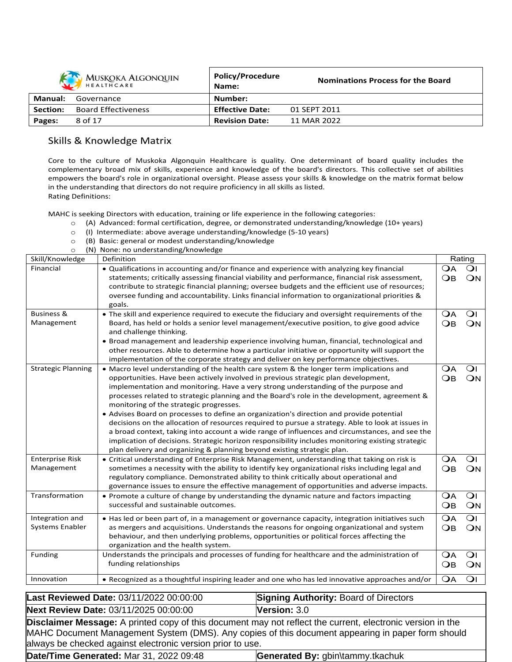| <b>MUSKOKA ALGONQUIN</b><br>HEALTHCARE |                            | <b>Policy/Procedure</b><br>Name: | <b>Nominations Process for the Board</b> |
|----------------------------------------|----------------------------|----------------------------------|------------------------------------------|
| Manual:                                | Governance                 | Number:                          |                                          |
| Section:                               | <b>Board Effectiveness</b> | <b>Effective Date:</b>           | 01 SEPT 2011                             |
| Pages:                                 | 8 of 17                    | <b>Revision Date:</b>            | 11 MAR 2022                              |

# Skills & Knowledge Matrix

Core to the culture of Muskoka Algonquin Healthcare is quality. One determinant of board quality includes the complementary broad mix of skills, experience and knowledge of the board's directors. This collective set of abilities empowers the board's role in organizational oversight. Please assess your skills & knowledge on the matrix format below in the understanding that directors do not require proficiency in all skills as listed. Rating Definitions:

MAHC is seeking Directors with education, training or life experience in the following categories:

- o (A) Advanced: formal certification, degree, or demonstrated understanding/knowledge (10+ years)
- o (I) Intermediate: above average understanding/knowledge (5-10 years)
- o (B) Basic: general or modest understanding/knowledge

o (N) None: no understanding/knowledge

| Skill/Knowledge           | Definition                                                                                                                              |                 | Rating         |
|---------------------------|-----------------------------------------------------------------------------------------------------------------------------------------|-----------------|----------------|
| Financial                 | • Qualifications in accounting and/or finance and experience with analyzing key financial                                               | <b>OA</b>       | $\Omega$       |
|                           | statements; critically assessing financial viability and performance, financial risk assessment,                                        | $\overline{OB}$ | ON             |
|                           | contribute to strategic financial planning; oversee budgets and the efficient use of resources;                                         |                 |                |
|                           | oversee funding and accountability. Links financial information to organizational priorities &                                          |                 |                |
| <b>Business &amp;</b>     | goals.<br>• The skill and experience required to execute the fiduciary and oversight requirements of the                                | OА              | $\overline{O}$ |
| Management                | Board, has held or holds a senior level management/executive position, to give good advice                                              | $\overline{OB}$ | ON             |
|                           | and challenge thinking.                                                                                                                 |                 |                |
|                           | • Broad management and leadership experience involving human, financial, technological and                                              |                 |                |
|                           | other resources. Able to determine how a particular initiative or opportunity will support the                                          |                 |                |
|                           | implementation of the corporate strategy and deliver on key performance objectives.                                                     |                 |                |
| <b>Strategic Planning</b> | • Macro level understanding of the health care system & the longer term implications and                                                | $\Omega$ A      | $\overline{O}$ |
|                           | opportunities. Have been actively involved in previous strategic plan development,                                                      | $\overline{OB}$ | ON             |
|                           | implementation and monitoring. Have a very strong understanding of the purpose and                                                      |                 |                |
|                           | processes related to strategic planning and the Board's role in the development, agreement &<br>monitoring of the strategic progresses. |                 |                |
|                           | • Advises Board on processes to define an organization's direction and provide potential                                                |                 |                |
|                           | decisions on the allocation of resources required to pursue a strategy. Able to look at issues in                                       |                 |                |
|                           | a broad context, taking into account a wide range of influences and circumstances, and see the                                          |                 |                |
|                           | implication of decisions. Strategic horizon responsibility includes monitoring existing strategic                                       |                 |                |
|                           | plan delivery and organizing & planning beyond existing strategic plan.                                                                 |                 |                |
| <b>Enterprise Risk</b>    | • Critical understanding of Enterprise Risk Management, understanding that taking on risk is                                            | $\mathsf{OA}$   | $\overline{O}$ |
| Management                | sometimes a necessity with the ability to identify key organizational risks including legal and                                         | $\overline{OB}$ | ON             |
|                           | regulatory compliance. Demonstrated ability to think critically about operational and                                                   |                 |                |
|                           | governance issues to ensure the effective management of opportunities and adverse impacts.                                              |                 |                |
| Transformation            | • Promote a culture of change by understanding the dynamic nature and factors impacting                                                 | OА              | $\overline{O}$ |
|                           | successful and sustainable outcomes.                                                                                                    | $\overline{OB}$ | ON             |
| Integration and           | • Has led or been part of, in a management or governance capacity, integration initiatives such                                         | $\overline{OA}$ | $\overline{O}$ |
| Systems Enabler           | as mergers and acquisitions. Understands the reasons for ongoing organizational and system                                              | $\overline{OB}$ | ON             |
|                           | behaviour, and then underlying problems, opportunities or political forces affecting the                                                |                 |                |
|                           | organization and the health system.                                                                                                     |                 |                |
| Funding                   | Understands the principals and processes of funding for healthcare and the administration of                                            | <b>OA</b>       | $\overline{O}$ |
|                           | funding relationships                                                                                                                   | $\bigcirc$ B    | ON             |
| Innovation                | . Recognized as a thoughtful inspiring leader and one who has led innovative approaches and/or                                          | <b>OA</b>       | $\overline{O}$ |

Last Reviewed Date: 03/11/2022 00:00:00 **Signing Authority: Board of Directors Next Review Date:** 03/11/2025 00:00:00 **Version:** 3.0 **Disclaimer Message:** A printed copy of this document may not reflect the current, electronic version in the MAHC Document Management System (DMS). Any copies of this document appearing in paper form should always be checked against electronic version prior to use. **Date/Time Generated:** Mar 31, 2022 09:48 **Generated By:** gbin\tammy.tkachuk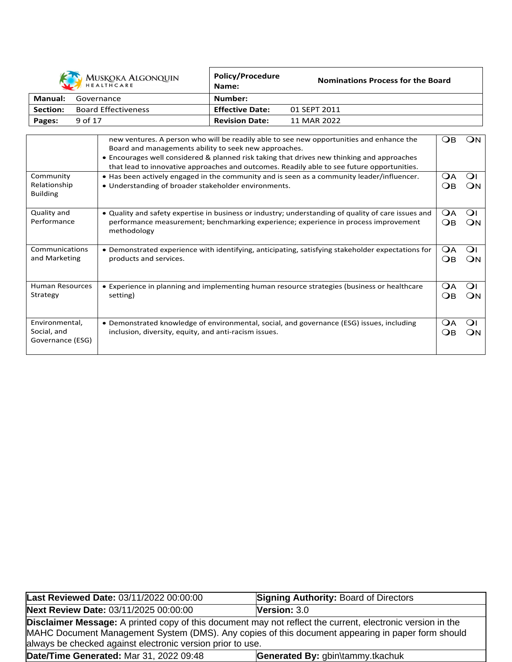|          | MUSKOKA ALGONQUIN          | Policy/Procedure<br>Name: | <b>Nominations Process for the Board</b> |
|----------|----------------------------|---------------------------|------------------------------------------|
| Manual:  | Governance                 | Number:                   |                                          |
| Section: | <b>Board Effectiveness</b> | <b>Effective Date:</b>    | 01 SEPT 2011                             |
| Pages:   | 9 of 17                    | <b>Revision Date:</b>     | 11 MAR 2022                              |

|                                                   | new ventures. A person who will be readily able to see new opportunities and enhance the<br>Board and managements ability to seek new approaches.                                                         | Oв        | ∩∧                   |
|---------------------------------------------------|-----------------------------------------------------------------------------------------------------------------------------------------------------------------------------------------------------------|-----------|----------------------|
|                                                   | • Encourages well considered & planned risk taking that drives new thinking and approaches<br>that lead to innovative approaches and outcomes. Readily able to see future opportunities.                  |           |                      |
| Community<br>Relationship<br><b>Building</b>      | • Has been actively engaged in the community and is seen as a community leader/influencer.<br>• Understanding of broader stakeholder environments.                                                        | ÓА<br>()R | Οı<br>ON             |
| Quality and<br>Performance                        | • Quality and safety expertise in business or industry; understanding of quality of care issues and<br>performance measurement; benchmarking experience; experience in process improvement<br>methodology | OА<br>OВ  | $\Omega$<br>ŐN       |
| Communications<br>and Marketing                   | • Demonstrated experience with identifying, anticipating, satisfying stakeholder expectations for<br>products and services.                                                                               | OА<br>OB  | Οı<br>ЭN             |
| Human Resources<br>Strategy                       | • Experience in planning and implementing human resource strategies (business or healthcare<br>setting)                                                                                                   | OА<br>OB  | $\overline{O}$<br>ON |
| Environmental,<br>Social, and<br>Governance (ESG) | • Demonstrated knowledge of environmental, social, and governance (ESG) issues, including<br>inclusion, diversity, equity, and anti-racism issues.                                                        | ÓА<br>()R | ∩<br>. JN            |

| Last Reviewed Date: 03/11/2022 00:00:00                                                                                                                                                                                                                                              | <b>Signing Authority: Board of Directors</b> |  |  |  |
|--------------------------------------------------------------------------------------------------------------------------------------------------------------------------------------------------------------------------------------------------------------------------------------|----------------------------------------------|--|--|--|
| Next Review Date: 03/11/2025 00:00:00                                                                                                                                                                                                                                                | Version: $3.0$                               |  |  |  |
| <b>Disclaimer Message:</b> A printed copy of this document may not reflect the current, electronic version in the<br>MAHC Document Management System (DMS). Any copies of this document appearing in paper form should<br>always be checked against electronic version prior to use. |                                              |  |  |  |
| Date/Time Generated: Mar 31, 2022 09:48<br>Generated By: gbin\tammy.tkachuk                                                                                                                                                                                                          |                                              |  |  |  |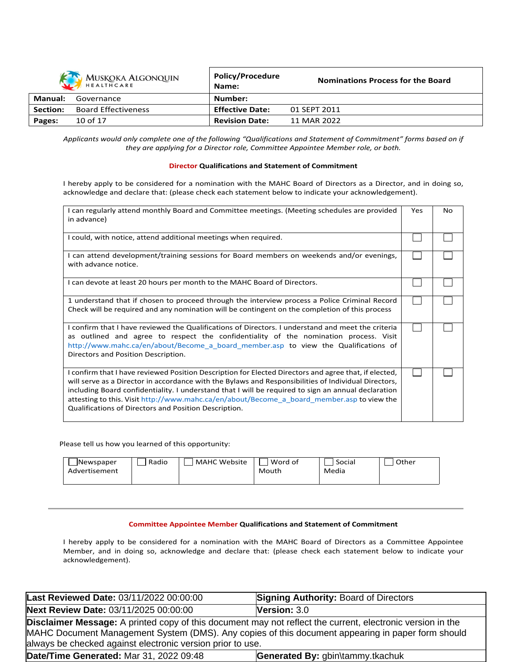| <b>MUSKOKA ALGONQUIN</b><br>HEALTHCARE |                            | Policy/Procedure<br>Name: | <b>Nominations Process for the Board</b> |
|----------------------------------------|----------------------------|---------------------------|------------------------------------------|
| Manual:                                | Governance                 | Number:                   |                                          |
| Section:                               | <b>Board Effectiveness</b> | <b>Effective Date:</b>    | 01 SEPT 2011                             |
| Pages:                                 | 10 of 17                   | <b>Revision Date:</b>     | 11 MAR 2022                              |

Applicants would only complete one of the following "Qualifications and Statement of Commitment" forms based on if *they are applying for a Director role, Committee Appointee Member role, or both.*

#### **Director Qualifications and Statement of Commitment**

I hereby apply to be considered for a nomination with the MAHC Board of Directors as a Director, and in doing so, acknowledge and declare that: (please check each statement below to indicate your acknowledgement).

| I can regularly attend monthly Board and Committee meetings. (Meeting schedules are provided<br>in advance)                                                                                                                                                                                                                                                                                                                                                                 | Yes | No |
|-----------------------------------------------------------------------------------------------------------------------------------------------------------------------------------------------------------------------------------------------------------------------------------------------------------------------------------------------------------------------------------------------------------------------------------------------------------------------------|-----|----|
| I could, with notice, attend additional meetings when required.                                                                                                                                                                                                                                                                                                                                                                                                             |     |    |
| I can attend development/training sessions for Board members on weekends and/or evenings,<br>with advance notice.                                                                                                                                                                                                                                                                                                                                                           |     |    |
| I can devote at least 20 hours per month to the MAHC Board of Directors.                                                                                                                                                                                                                                                                                                                                                                                                    |     |    |
| 1 understand that if chosen to proceed through the interview process a Police Criminal Record<br>Check will be required and any nomination will be contingent on the completion of this process                                                                                                                                                                                                                                                                             |     |    |
| I confirm that I have reviewed the Qualifications of Directors. I understand and meet the criteria<br>as outlined and agree to respect the confidentiality of the nomination process. Visit<br>http://www.mahc.ca/en/about/Become a board member.asp to view the Qualifications of<br>Directors and Position Description.                                                                                                                                                   |     |    |
| I confirm that I have reviewed Position Description for Elected Directors and agree that, if elected,<br>will serve as a Director in accordance with the Bylaws and Responsibilities of Individual Directors,<br>including Board confidentiality. I understand that I will be required to sign an annual declaration<br>attesting to this. Visit http://www.mahc.ca/en/about/Become a board member.asp to view the<br>Qualifications of Directors and Position Description. |     |    |

Please tell us how you learned of this opportunity:

| Newspaper<br>Advertisement | Radio | <b>MAHC Website</b> | Word of<br>Mouth | Social<br>Media | Other |
|----------------------------|-------|---------------------|------------------|-----------------|-------|
|----------------------------|-------|---------------------|------------------|-----------------|-------|

#### **Committee Appointee Member Qualifications and Statement of Commitment**

I hereby apply to be considered for a nomination with the MAHC Board of Directors as a Committee Appointee Member, and in doing so, acknowledge and declare that: (please check each statement below to indicate your acknowledgement).

| Last Reviewed Date: 03/11/2022 00:00:00                                                                                                                                                                                                                                              | <b>Signing Authority: Board of Directors</b> |  |  |
|--------------------------------------------------------------------------------------------------------------------------------------------------------------------------------------------------------------------------------------------------------------------------------------|----------------------------------------------|--|--|
| Next Review Date: 03/11/2025 00:00:00                                                                                                                                                                                                                                                | Version: $3.0$                               |  |  |
| <b>Disclaimer Message:</b> A printed copy of this document may not reflect the current, electronic version in the<br>MAHC Document Management System (DMS). Any copies of this document appearing in paper form should<br>always be checked against electronic version prior to use. |                                              |  |  |
| <b>Date/Time Generated: Mar 31, 2022 09:48</b>                                                                                                                                                                                                                                       | Generated By: gbin\tammy.tkachuk             |  |  |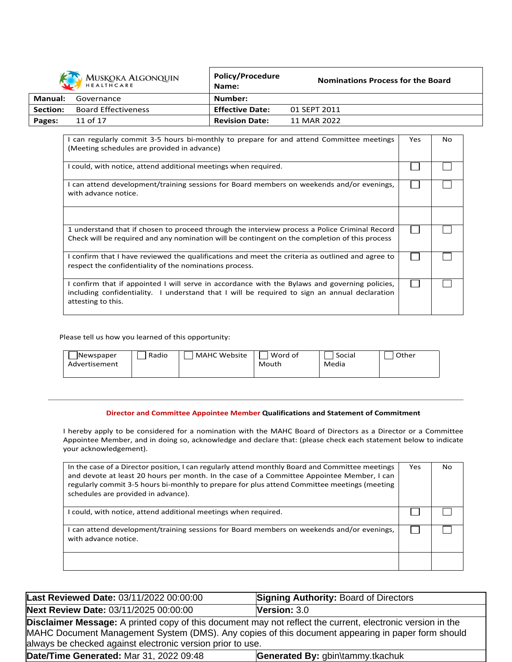|          | MUSKOKA ALGONQUIN          | <b>Policy/Procedure</b><br>Name: | <b>Nominations Process for the Board</b> |
|----------|----------------------------|----------------------------------|------------------------------------------|
| Manual:  | Governance                 | Number:                          |                                          |
| Section: | <b>Board Effectiveness</b> | <b>Effective Date:</b>           | 01 SEPT 2011                             |
| Pages:   | 11 of 17                   | <b>Revision Date:</b>            | 11 MAR 2022                              |

| I can regularly commit 3-5 hours bi-monthly to prepare for and attend Committee meetings<br>(Meeting schedules are provided in advance)                                                                               | Yes | No. |
|-----------------------------------------------------------------------------------------------------------------------------------------------------------------------------------------------------------------------|-----|-----|
| I could, with notice, attend additional meetings when required.                                                                                                                                                       |     |     |
| I can attend development/training sessions for Board members on weekends and/or evenings,<br>with advance notice.                                                                                                     |     |     |
|                                                                                                                                                                                                                       |     |     |
| 1 understand that if chosen to proceed through the interview process a Police Criminal Record<br>Check will be required and any nomination will be contingent on the completion of this process                       |     |     |
| I confirm that I have reviewed the qualifications and meet the criteria as outlined and agree to<br>respect the confidentiality of the nominations process.                                                           |     |     |
| I confirm that if appointed I will serve in accordance with the Bylaws and governing policies,<br>including confidentiality. I understand that I will be required to sign an annual declaration<br>attesting to this. |     |     |

Please tell us how you learned of this opportunity:

| Radio<br><b>MAHC Website</b><br>Newspaper<br>Advertisement | Word of<br>Mouth | Social<br>Media | Other |
|------------------------------------------------------------|------------------|-----------------|-------|
|------------------------------------------------------------|------------------|-----------------|-------|

### **Director and Committee Appointee Member Qualifications and Statement of Commitment**

I hereby apply to be considered for a nomination with the MAHC Board of Directors as a Director or a Committee Appointee Member, and in doing so, acknowledge and declare that: (please check each statement below to indicate your acknowledgement).

| In the case of a Director position, I can regularly attend monthly Board and Committee meetings<br>and devote at least 20 hours per month. In the case of a Committee Appointee Member, I can<br>regularly commit 3-5 hours bi-monthly to prepare for plus attend Committee meetings (meeting<br>schedules are provided in advance). | Yes | No. |
|--------------------------------------------------------------------------------------------------------------------------------------------------------------------------------------------------------------------------------------------------------------------------------------------------------------------------------------|-----|-----|
| I could, with notice, attend additional meetings when required.                                                                                                                                                                                                                                                                      |     |     |
| can attend development/training sessions for Board members on weekends and/or evenings,<br>with advance notice.                                                                                                                                                                                                                      |     |     |
|                                                                                                                                                                                                                                                                                                                                      |     |     |

| Last Reviewed Date: 03/11/2022 00:00:00                                                                                                                                                                                                                                              | <b>Signing Authority: Board of Directors</b> |  |
|--------------------------------------------------------------------------------------------------------------------------------------------------------------------------------------------------------------------------------------------------------------------------------------|----------------------------------------------|--|
| Next Review Date: 03/11/2025 00:00:00                                                                                                                                                                                                                                                | Version: $3.0$                               |  |
| <b>Disclaimer Message:</b> A printed copy of this document may not reflect the current, electronic version in the<br>MAHC Document Management System (DMS). Any copies of this document appearing in paper form should<br>always be checked against electronic version prior to use. |                                              |  |
| Date/Time Generated: Mar 31, 2022 09:48                                                                                                                                                                                                                                              | Generated By: gbin\tammy.tkachuk             |  |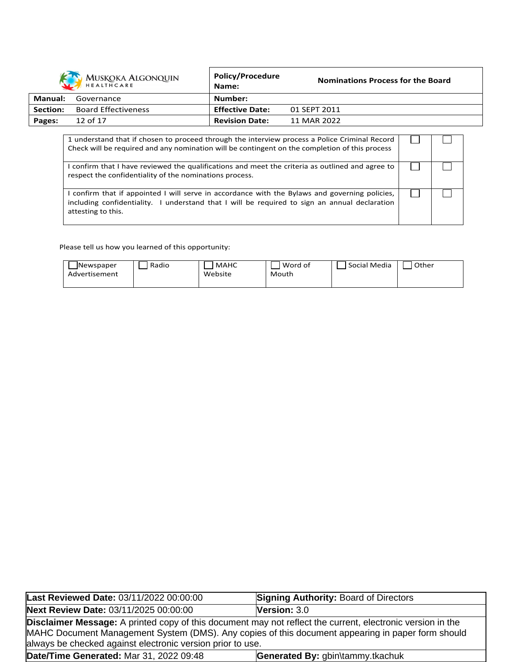|          | MUSKOKA ALGONQUIN          | <b>Policy/Procedure</b><br>Name: | <b>Nominations Process for the Board</b> |
|----------|----------------------------|----------------------------------|------------------------------------------|
| Manual:  | Governance                 | Number:                          |                                          |
| Section: | <b>Board Effectiveness</b> | <b>Effective Date:</b>           | 01 SEPT 2011                             |
| Pages:   | 12 of 17                   | <b>Revision Date:</b>            | 11 MAR 2022                              |

| 1 understand that if chosen to proceed through the interview process a Police Criminal Record<br>Check will be required and any nomination will be contingent on the completion of this process                     |  |
|---------------------------------------------------------------------------------------------------------------------------------------------------------------------------------------------------------------------|--|
| I confirm that I have reviewed the qualifications and meet the criteria as outlined and agree to<br>respect the confidentiality of the nominations process.                                                         |  |
| confirm that if appointed I will serve in accordance with the Bylaws and governing policies,<br>including confidentiality. I understand that I will be required to sign an annual declaration<br>attesting to this. |  |

Please tell us how you learned of this opportunity:

| Newspaper     | Radio | <b>MAHC</b> | Word of | Social Media | Other |
|---------------|-------|-------------|---------|--------------|-------|
| Advertisement |       | Website     | Mouth   |              |       |
|               |       |             |         |              |       |

| Last Reviewed Date: 03/11/2022 00:00:00                                                                                                                                                                                                                                              | <b>Signing Authority: Board of Directors</b> |  |
|--------------------------------------------------------------------------------------------------------------------------------------------------------------------------------------------------------------------------------------------------------------------------------------|----------------------------------------------|--|
| Next Review Date: 03/11/2025 00:00:00                                                                                                                                                                                                                                                | Version: 3.0                                 |  |
| <b>Disclaimer Message:</b> A printed copy of this document may not reflect the current, electronic version in the<br>MAHC Document Management System (DMS). Any copies of this document appearing in paper form should<br>always be checked against electronic version prior to use. |                                              |  |
| Date/Time Generated: Mar 31, 2022 09:48                                                                                                                                                                                                                                              | Generated By: gbin\tammy.tkachuk             |  |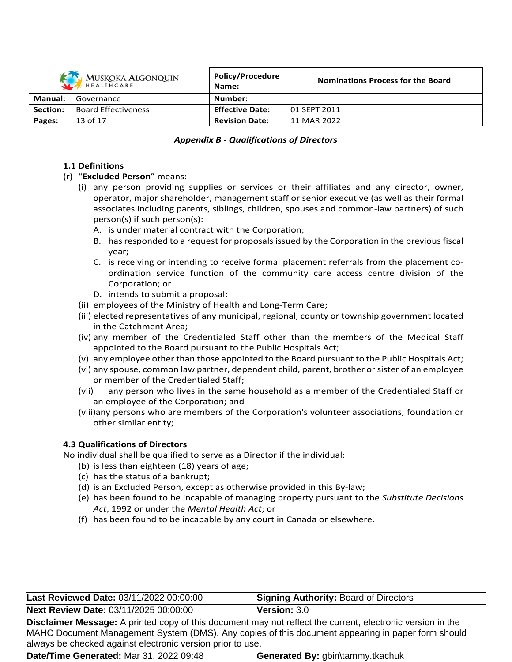|          | MUSKOKA ALGONQUIN          | Policy/Procedure<br>Name: | <b>Nominations Process for the Board</b> |
|----------|----------------------------|---------------------------|------------------------------------------|
| Manual:  | Governance                 | Number:                   |                                          |
| Section: | <b>Board Effectiveness</b> | <b>Effective Date:</b>    | 01 SEPT 2011                             |
| Pages:   | 13 of 17                   | <b>Revision Date:</b>     | 11 MAR 2022                              |

### *Appendix B - Qualifications of Directors*

### **1.1 Definitions**

### (r) "**Excluded Person**" means:

- (i) any person providing supplies or services or their affiliates and any director, owner, operator, major shareholder, management staff or senior executive (as well as their formal associates including parents, siblings, children, spouses and common-law partners) of such person(s) if such person(s):
	- A. is under material contract with the Corporation;
	- B. has responded to a request for proposals issued by the Corporation in the previous fiscal year;
	- C. is receiving or intending to receive formal placement referrals from the placement coordination service function of the community care access centre division of the Corporation; or
	- D. intends to submit a proposal;
- (ii) employees of the Ministry of Health and Long-Term Care;
- (iii) elected representatives of any municipal, regional, county or township government located in the Catchment Area;
- (iv) any member of the Credentialed Staff other than the members of the Medical Staff appointed to the Board pursuant to the Public Hospitals Act;
- (v) any employee other than those appointed to the Board pursuant to the Public Hospitals Act;
- (vi) any spouse, common law partner, dependent child, parent, brother or sister of an employee or member of the Credentialed Staff;
- (vii) any person who lives in the same household as a member of the Credentialed Staff or an employee of the Corporation; and
- (viii)any persons who are members of the Corporation's volunteer associations, foundation or other similar entity;

### **4.3 Qualifications of Directors**

No individual shall be qualified to serve as a Director if the individual:

- (b) is less than eighteen (18) years of age;
- (c) has the status of a bankrupt;
- (d) is an Excluded Person, except as otherwise provided in this By-law;
- (e) has been found to be incapable of managing property pursuant to the *Substitute Decisions Act*, 1992 or under the *Mental Health Act*; or
- (f) has been found to be incapable by any court in Canada or elsewhere.

| Last Reviewed Date: 03/11/2022 00:00:00                                                                           | <b>Signing Authority: Board of Directors</b> |  |  |
|-------------------------------------------------------------------------------------------------------------------|----------------------------------------------|--|--|
| Next Review Date: 03/11/2025 00:00:00                                                                             | Version: $3.0$                               |  |  |
| <b>Disclaimer Message:</b> A printed copy of this document may not reflect the current, electronic version in the |                                              |  |  |
| MAHC Document Management System (DMS). Any copies of this document appearing in paper form should                 |                                              |  |  |
| always be checked against electronic version prior to use.                                                        |                                              |  |  |
| Date/Time Generated: Mar 31, 2022 09:48                                                                           | Generated By: gbin\tammy.tkachuk             |  |  |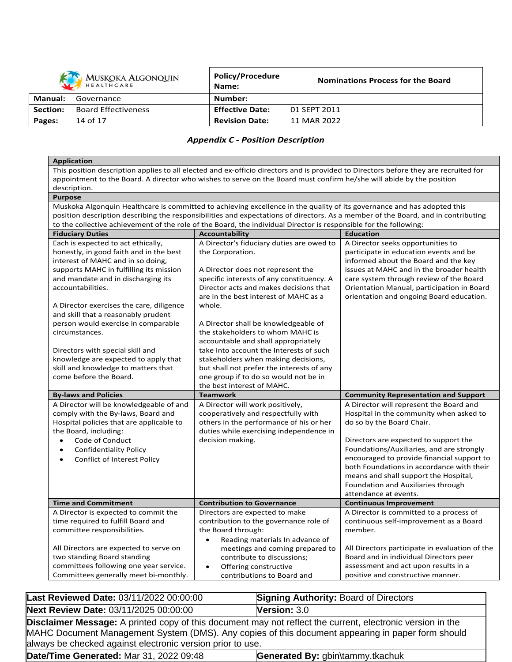| <b>KAN</b> MUSKOKA ALGONQUIN<br>HEALTHCARE |                            | <b>Policy/Procedure</b><br>Name: | <b>Nominations Process for the Board</b> |
|--------------------------------------------|----------------------------|----------------------------------|------------------------------------------|
| Manual:                                    | Governance                 | Number:                          |                                          |
| <b>Section:</b>                            | <b>Board Effectiveness</b> | <b>Effective Date:</b>           | 01 SEPT 2011                             |
| Pages:                                     | 14 of 17                   | <b>Revision Date:</b>            | 11 MAR 2022                              |

# *Appendix C - Position Description*

| <b>Application</b>                                                                                                                                                                                                          |  |  |  |  |
|-----------------------------------------------------------------------------------------------------------------------------------------------------------------------------------------------------------------------------|--|--|--|--|
| This position description applies to all elected and ex-officio directors and is provided to Directors before they are recruited for                                                                                        |  |  |  |  |
| appointment to the Board. A director who wishes to serve on the Board must confirm he/she will abide by the position                                                                                                        |  |  |  |  |
| description.                                                                                                                                                                                                                |  |  |  |  |
| <b>Purpose</b>                                                                                                                                                                                                              |  |  |  |  |
| Muskoka Algonquin Healthcare is committed to achieving excellence in the quality of its governance and has adopted this                                                                                                     |  |  |  |  |
| position description describing the responsibilities and expectations of directors. As a member of the Board, and in contributing                                                                                           |  |  |  |  |
| to the collective achievement of the role of the Board, the individual Director is responsible for the following:                                                                                                           |  |  |  |  |
| <b>Fiduciary Duties</b><br><b>Accountability</b><br><b>Education</b>                                                                                                                                                        |  |  |  |  |
| Each is expected to act ethically,<br>A Director's fiduciary duties are owed to<br>A Director seeks opportunities to                                                                                                        |  |  |  |  |
| honestly, in good faith and in the best<br>the Corporation.<br>participate in education events and be                                                                                                                       |  |  |  |  |
| interest of MAHC and in so doing,<br>informed about the Board and the key                                                                                                                                                   |  |  |  |  |
| supports MAHC in fulfilling its mission<br>issues at MAHC and in the broader health<br>A Director does not represent the                                                                                                    |  |  |  |  |
| specific interests of any constituency. A<br>and mandate and in discharging its<br>care system through review of the Board                                                                                                  |  |  |  |  |
| accountabilities.<br>Director acts and makes decisions that<br>Orientation Manual, participation in Board                                                                                                                   |  |  |  |  |
| are in the best interest of MAHC as a<br>orientation and ongoing Board education.                                                                                                                                           |  |  |  |  |
| A Director exercises the care, diligence<br>whole.                                                                                                                                                                          |  |  |  |  |
| and skill that a reasonably prudent                                                                                                                                                                                         |  |  |  |  |
| person would exercise in comparable<br>A Director shall be knowledgeable of<br>the stakeholders to whom MAHC is<br>circumstances.                                                                                           |  |  |  |  |
| accountable and shall appropriately                                                                                                                                                                                         |  |  |  |  |
| Directors with special skill and<br>take Into account the Interests of such                                                                                                                                                 |  |  |  |  |
| knowledge are expected to apply that<br>stakeholders when making decisions,                                                                                                                                                 |  |  |  |  |
| skill and knowledge to matters that<br>but shall not prefer the interests of any                                                                                                                                            |  |  |  |  |
| come before the Board.<br>one group if to do so would not be in                                                                                                                                                             |  |  |  |  |
| the best interest of MAHC.                                                                                                                                                                                                  |  |  |  |  |
| <b>Teamwork</b><br><b>By-laws and Policies</b><br><b>Community Representation and Support</b>                                                                                                                               |  |  |  |  |
| A Director will be knowledgeable of and<br>A Director will work positively,<br>A Director will represent the Board and                                                                                                      |  |  |  |  |
| comply with the By-laws, Board and<br>cooperatively and respectfully with<br>Hospital in the community when asked to                                                                                                        |  |  |  |  |
| Hospital policies that are applicable to<br>others in the performance of his or her<br>do so by the Board Chair.                                                                                                            |  |  |  |  |
| the Board, including:<br>duties while exercising independence in                                                                                                                                                            |  |  |  |  |
| Code of Conduct<br>decision making.<br>Directors are expected to support the<br>$\bullet$                                                                                                                                   |  |  |  |  |
| Foundations/Auxiliaries, and are strongly<br><b>Confidentiality Policy</b><br>$\bullet$                                                                                                                                     |  |  |  |  |
| encouraged to provide financial support to<br>Conflict of Interest Policy<br>$\bullet$                                                                                                                                      |  |  |  |  |
| both Foundations in accordance with their                                                                                                                                                                                   |  |  |  |  |
| means and shall support the Hospital,                                                                                                                                                                                       |  |  |  |  |
| Foundation and Auxiliaries through                                                                                                                                                                                          |  |  |  |  |
| attendance at events.                                                                                                                                                                                                       |  |  |  |  |
| <b>Time and Commitment</b><br><b>Contribution to Governance</b><br><b>Continuous Improvement</b>                                                                                                                            |  |  |  |  |
| A Director is expected to commit the<br>Directors are expected to make<br>A Director is committed to a process of                                                                                                           |  |  |  |  |
| time required to fulfill Board and<br>contribution to the governance role of<br>continuous self-improvement as a Board<br>member.                                                                                           |  |  |  |  |
| the Board through:<br>committee responsibilities.<br>$\bullet$                                                                                                                                                              |  |  |  |  |
| Reading materials In advance of<br>All Directors are expected to serve on<br>All Directors participate in evaluation of the                                                                                                 |  |  |  |  |
| meetings and coming prepared to                                                                                                                                                                                             |  |  |  |  |
|                                                                                                                                                                                                                             |  |  |  |  |
| two standing Board standing<br>Board and in individual Directors peer<br>contribute to discussions;<br>committees following one year service.<br>assessment and act upon results in a<br>Offering constructive<br>$\bullet$ |  |  |  |  |

| Last Reviewed Date: 03/11/2022 00:00:00                                                                                                                                                                                                                                              | <b>Signing Authority: Board of Directors</b> |  |
|--------------------------------------------------------------------------------------------------------------------------------------------------------------------------------------------------------------------------------------------------------------------------------------|----------------------------------------------|--|
| Next Review Date: 03/11/2025 00:00:00                                                                                                                                                                                                                                                | <b>Version: <math>3.0</math></b>             |  |
| <b>Disclaimer Message:</b> A printed copy of this document may not reflect the current, electronic version in the<br>MAHC Document Management System (DMS). Any copies of this document appearing in paper form should<br>always be checked against electronic version prior to use. |                                              |  |
| Date/Time Generated: Mar 31, 2022 09:48<br>Generated By: gbin\tammy.tkachuk                                                                                                                                                                                                          |                                              |  |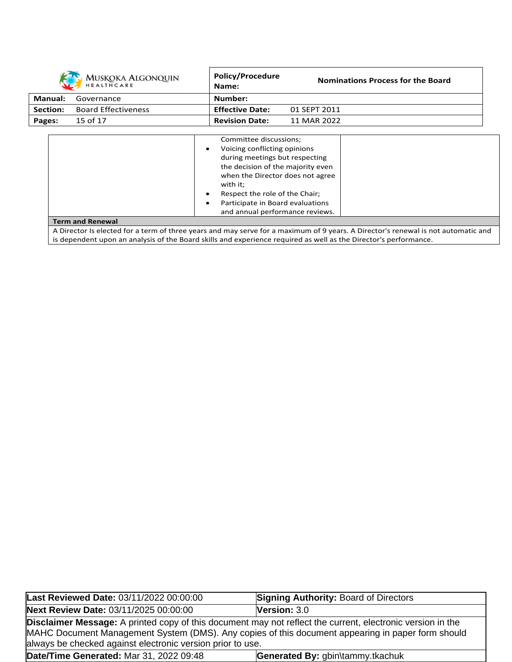|                | <b>MUSKOKA ALGONQUIN</b><br><b>HEALTHCARE</b> | <b>Policy/Procedure</b><br>Name:                                                                                                                                                                                                                                                                                              | <b>Nominations Process for the Board</b>                                                                                                                                                                                                              |
|----------------|-----------------------------------------------|-------------------------------------------------------------------------------------------------------------------------------------------------------------------------------------------------------------------------------------------------------------------------------------------------------------------------------|-------------------------------------------------------------------------------------------------------------------------------------------------------------------------------------------------------------------------------------------------------|
| <b>Manual:</b> | Governance                                    | Number:                                                                                                                                                                                                                                                                                                                       |                                                                                                                                                                                                                                                       |
| Section:       | <b>Board Effectiveness</b>                    | <b>Effective Date:</b>                                                                                                                                                                                                                                                                                                        | 01 SEPT 2011                                                                                                                                                                                                                                          |
| Pages:         | 15 of 17                                      | <b>Revision Date:</b>                                                                                                                                                                                                                                                                                                         | 11 MAR 2022                                                                                                                                                                                                                                           |
|                |                                               | Committee discussions;<br>Voicing conflicting opinions<br>$\bullet$<br>during meetings but respecting<br>the decision of the majority even<br>when the Director does not agree<br>with it;<br>Respect the role of the Chair;<br>$\bullet$<br>Participate in Board evaluations<br>$\bullet$<br>and annual performance reviews. |                                                                                                                                                                                                                                                       |
|                | <b>Term and Renewal</b>                       |                                                                                                                                                                                                                                                                                                                               |                                                                                                                                                                                                                                                       |
|                |                                               |                                                                                                                                                                                                                                                                                                                               | A Director Is elected for a term of three years and may serve for a maximum of 9 years. A Director's renewal is not automatic and<br>is dependent upon an analysis of the Board skills and experience required as well as the Director's performance. |

| Last Reviewed Date: 03/11/2022 00:00:00                                                                                                                                                                                                                                       | <b>Signing Authority: Board of Directors</b> |  |
|-------------------------------------------------------------------------------------------------------------------------------------------------------------------------------------------------------------------------------------------------------------------------------|----------------------------------------------|--|
| Next Review Date: 03/11/2025 00:00:00                                                                                                                                                                                                                                         | <b>Version: <math>3.0</math></b>             |  |
| Disclaimer Message: A printed copy of this document may not reflect the current, electronic version in the<br>MAHC Document Management System (DMS). Any copies of this document appearing in paper form should<br>always be checked against electronic version prior to use. |                                              |  |
| Date/Time Generated: Mar 31, 2022 09:48                                                                                                                                                                                                                                       | Generated By: gbin\tammy.tkachuk             |  |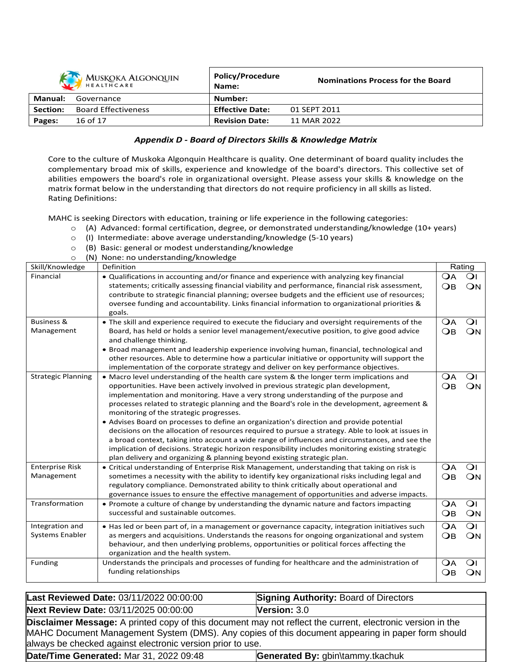| MUSKOKA ALGONQUIN |                            | Policy/Procedure<br>Name: | <b>Nominations Process for the Board</b> |
|-------------------|----------------------------|---------------------------|------------------------------------------|
| Manual:           | Governance                 | Number:                   |                                          |
| Section:          | <b>Board Effectiveness</b> | <b>Effective Date:</b>    | 01 SEPT 2011                             |
| Pages:            | 16 of 17                   | <b>Revision Date:</b>     | 11 MAR 2022                              |

#### *Appendix D - Board of Directors Skills & Knowledge Matrix*

Core to the culture of Muskoka Algonquin Healthcare is quality. One determinant of board quality includes the complementary broad mix of skills, experience and knowledge of the board's directors. This collective set of abilities empowers the board's role in organizational oversight. Please assess your skills & knowledge on the matrix format below in the understanding that directors do not require proficiency in all skills as listed. Rating Definitions:

MAHC is seeking Directors with education, training or life experience in the following categories:

- o (A) Advanced: formal certification, degree, or demonstrated understanding/knowledge (10+ years)
- o (I) Intermediate: above average understanding/knowledge (5-10 years)
- o (B) Basic: general or modest understanding/knowledge

| (N) None: no understanding/knowledge<br>$\circ$ |                                                                                                                                     |                 |                |
|-------------------------------------------------|-------------------------------------------------------------------------------------------------------------------------------------|-----------------|----------------|
| Skill/Knowledge<br>Definition                   |                                                                                                                                     | Rating          |                |
| Financial                                       | • Qualifications in accounting and/or finance and experience with analyzing key financial                                           |                 | $\Omega$       |
|                                                 | statements; critically assessing financial viability and performance, financial risk assessment,                                    | $\overline{OB}$ | ON             |
|                                                 | contribute to strategic financial planning; oversee budgets and the efficient use of resources;                                     |                 |                |
|                                                 | oversee funding and accountability. Links financial information to organizational priorities &                                      |                 |                |
|                                                 | goals.                                                                                                                              |                 |                |
| <b>Business &amp;</b>                           | • The skill and experience required to execute the fiduciary and oversight requirements of the                                      | <b>OA</b>       | $\overline{O}$ |
| Management                                      | Board, has held or holds a senior level management/executive position, to give good advice                                          | $\overline{OB}$ | ON             |
|                                                 | and challenge thinking.                                                                                                             |                 |                |
|                                                 | • Broad management and leadership experience involving human, financial, technological and                                          |                 |                |
|                                                 | other resources. Able to determine how a particular initiative or opportunity will support the                                      |                 |                |
|                                                 | implementation of the corporate strategy and deliver on key performance objectives.                                                 |                 |                |
| <b>Strategic Planning</b>                       | • Macro level understanding of the health care system & the longer term implications and                                            | <b>OA</b>       | $\overline{O}$ |
|                                                 | opportunities. Have been actively involved in previous strategic plan development,                                                  | $\overline{OB}$ | ON             |
|                                                 | implementation and monitoring. Have a very strong understanding of the purpose and                                                  |                 |                |
|                                                 | processes related to strategic planning and the Board's role in the development, agreement &                                        |                 |                |
|                                                 | monitoring of the strategic progresses.<br>• Advises Board on processes to define an organization's direction and provide potential |                 |                |
|                                                 | decisions on the allocation of resources required to pursue a strategy. Able to look at issues in                                   |                 |                |
|                                                 | a broad context, taking into account a wide range of influences and circumstances, and see the                                      |                 |                |
|                                                 | implication of decisions. Strategic horizon responsibility includes monitoring existing strategic                                   |                 |                |
|                                                 | plan delivery and organizing & planning beyond existing strategic plan.                                                             |                 |                |
| <b>Enterprise Risk</b>                          | • Critical understanding of Enterprise Risk Management, understanding that taking on risk is                                        | <b>OA</b>       | $\overline{O}$ |
| Management                                      | sometimes a necessity with the ability to identify key organizational risks including legal and                                     | $\overline{OB}$ | ON             |
|                                                 | regulatory compliance. Demonstrated ability to think critically about operational and                                               |                 |                |
|                                                 | governance issues to ensure the effective management of opportunities and adverse impacts.                                          |                 |                |
| Transformation                                  | • Promote a culture of change by understanding the dynamic nature and factors impacting                                             | <b>OA</b>       | $\overline{O}$ |
|                                                 | successful and sustainable outcomes.                                                                                                | $\bigcirc$ B    | ON             |
|                                                 |                                                                                                                                     |                 |                |
| Integration and                                 | • Has led or been part of, in a management or governance capacity, integration initiatives such                                     | $\Omega$ A      | $\overline{O}$ |
| Systems Enabler                                 | as mergers and acquisitions. Understands the reasons for ongoing organizational and system                                          | $\overline{OB}$ | ON             |
|                                                 | behaviour, and then underlying problems, opportunities or political forces affecting the                                            |                 |                |
|                                                 | organization and the health system.                                                                                                 |                 |                |
| Funding                                         | Understands the principals and processes of funding for healthcare and the administration of                                        | $\Omega$ A      | $\overline{O}$ |
|                                                 | funding relationships                                                                                                               | $\overline{OB}$ | ON             |

| Last Reviewed Date: 03/11/2022 00:00:00                                                                                                                                                                                                                                              | <b>Signing Authority: Board of Directors</b> |  |
|--------------------------------------------------------------------------------------------------------------------------------------------------------------------------------------------------------------------------------------------------------------------------------------|----------------------------------------------|--|
| Next Review Date: 03/11/2025 00:00:00                                                                                                                                                                                                                                                | Version: $3.0$                               |  |
| <b>Disclaimer Message:</b> A printed copy of this document may not reflect the current, electronic version in the<br>MAHC Document Management System (DMS). Any copies of this document appearing in paper form should<br>always be checked against electronic version prior to use. |                                              |  |
| Date/Time Generated: Mar 31, 2022 09:48                                                                                                                                                                                                                                              | Generated By: gbin\tammy.tkachuk             |  |